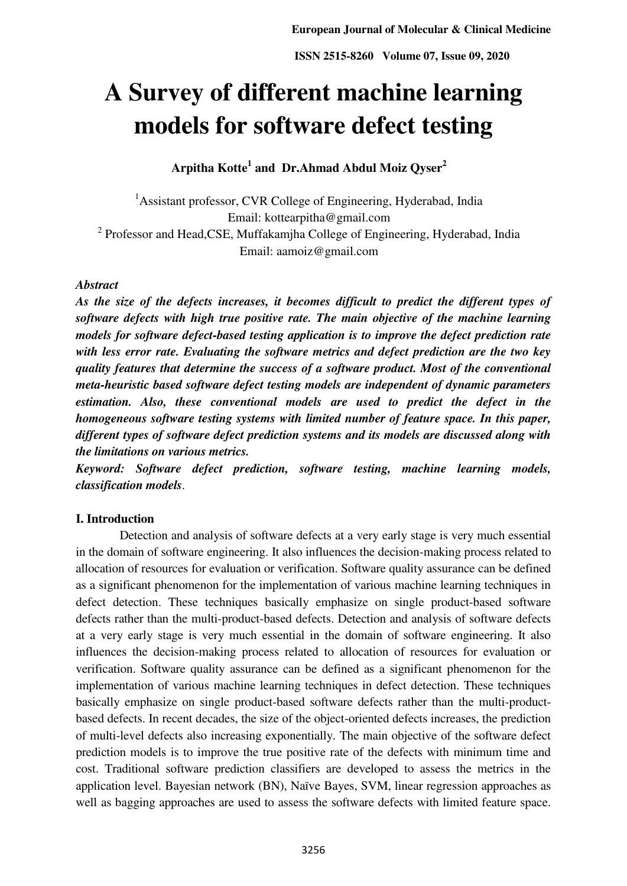# **A Survey of different machine learning models for software defect testing**

**Arpitha Kotte<sup>1</sup> and Dr.Ahmad Abdul Moiz Qyser<sup>2</sup>**

<sup>1</sup> Assistant professor, CVR College of Engineering, Hyderabad, India Email: kottearpitha@gmail.com  $2$  Professor and Head, CSE, Muffakamjha College of Engineering, Hyderabad, India Email: aamoiz@gmail.com

#### *Abstract*

*As the size of the defects increases, it becomes difficult to predict the different types of software defects with high true positive rate. The main objective of the machine learning models for software defect-based testing application is to improve the defect prediction rate with less error rate. Evaluating the software metrics and defect prediction are the two key quality features that determine the success of a software product. Most of the conventional meta-heuristic based software defect testing models are independent of dynamic parameters estimation. Also, these conventional models are used to predict the defect in the homogeneous software testing systems with limited number of feature space. In this paper, different types of software defect prediction systems and its models are discussed along with the limitations on various metrics.* 

*Keyword: Software defect prediction, software testing, machine learning models, classification models*.

#### **I. Introduction**

 Detection and analysis of software defects at a very early stage is very much essential in the domain of software engineering. It also influences the decision-making process related to allocation of resources for evaluation or verification. Software quality assurance can be defined as a significant phenomenon for the implementation of various machine learning techniques in defect detection. These techniques basically emphasize on single product-based software defects rather than the multi-product-based defects. Detection and analysis of software defects at a very early stage is very much essential in the domain of software engineering. It also influences the decision-making process related to allocation of resources for evaluation or verification. Software quality assurance can be defined as a significant phenomenon for the implementation of various machine learning techniques in defect detection. These techniques basically emphasize on single product-based software defects rather than the multi-productbased defects. In recent decades, the size of the object-oriented defects increases, the prediction of multi-level defects also increasing exponentially. The main objective of the software defect prediction models is to improve the true positive rate of the defects with minimum time and cost. Traditional software prediction classifiers are developed to assess the metrics in the application level. Bayesian network (BN), Naïve Bayes, SVM, linear regression approaches as well as bagging approaches are used to assess the software defects with limited feature space.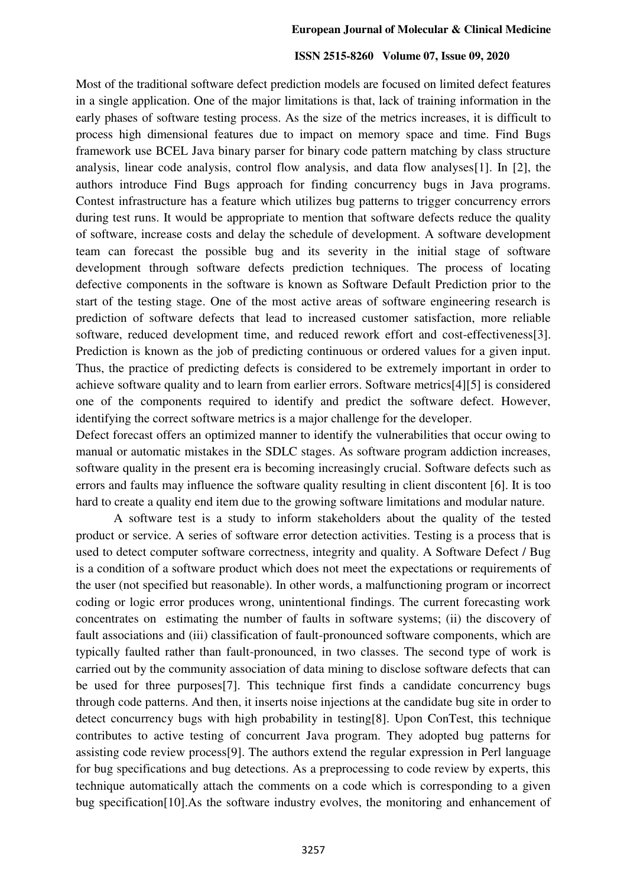Most of the traditional software defect prediction models are focused on limited defect features in a single application. One of the major limitations is that, lack of training information in the early phases of software testing process. As the size of the metrics increases, it is difficult to process high dimensional features due to impact on memory space and time. Find Bugs framework use BCEL Java binary parser for binary code pattern matching by class structure analysis, linear code analysis, control flow analysis, and data flow analyses[1]. In [2], the authors introduce Find Bugs approach for finding concurrency bugs in Java programs. Contest infrastructure has a feature which utilizes bug patterns to trigger concurrency errors during test runs. It would be appropriate to mention that software defects reduce the quality of software, increase costs and delay the schedule of development. A software development team can forecast the possible bug and its severity in the initial stage of software development through software defects prediction techniques. The process of locating defective components in the software is known as Software Default Prediction prior to the start of the testing stage. One of the most active areas of software engineering research is prediction of software defects that lead to increased customer satisfaction, more reliable software, reduced development time, and reduced rework effort and cost-effectiveness[3]. Prediction is known as the job of predicting continuous or ordered values for a given input. Thus, the practice of predicting defects is considered to be extremely important in order to achieve software quality and to learn from earlier errors. Software metrics[4][5] is considered one of the components required to identify and predict the software defect. However, identifying the correct software metrics is a major challenge for the developer.

Defect forecast offers an optimized manner to identify the vulnerabilities that occur owing to manual or automatic mistakes in the SDLC stages. As software program addiction increases, software quality in the present era is becoming increasingly crucial. Software defects such as errors and faults may influence the software quality resulting in client discontent [6]. It is too hard to create a quality end item due to the growing software limitations and modular nature.

A software test is a study to inform stakeholders about the quality of the tested product or service. A series of software error detection activities. Testing is a process that is used to detect computer software correctness, integrity and quality. A Software Defect / Bug is a condition of a software product which does not meet the expectations or requirements of the user (not specified but reasonable). In other words, a malfunctioning program or incorrect coding or logic error produces wrong, unintentional findings. The current forecasting work concentrates on estimating the number of faults in software systems; (ii) the discovery of fault associations and (iii) classification of fault-pronounced software components, which are typically faulted rather than fault-pronounced, in two classes. The second type of work is carried out by the community association of data mining to disclose software defects that can be used for three purposes[7]. This technique first finds a candidate concurrency bugs through code patterns. And then, it inserts noise injections at the candidate bug site in order to detect concurrency bugs with high probability in testing[8]. Upon ConTest, this technique contributes to active testing of concurrent Java program. They adopted bug patterns for assisting code review process[9]. The authors extend the regular expression in Perl language for bug specifications and bug detections. As a preprocessing to code review by experts, this technique automatically attach the comments on a code which is corresponding to a given bug specification[10].As the software industry evolves, the monitoring and enhancement of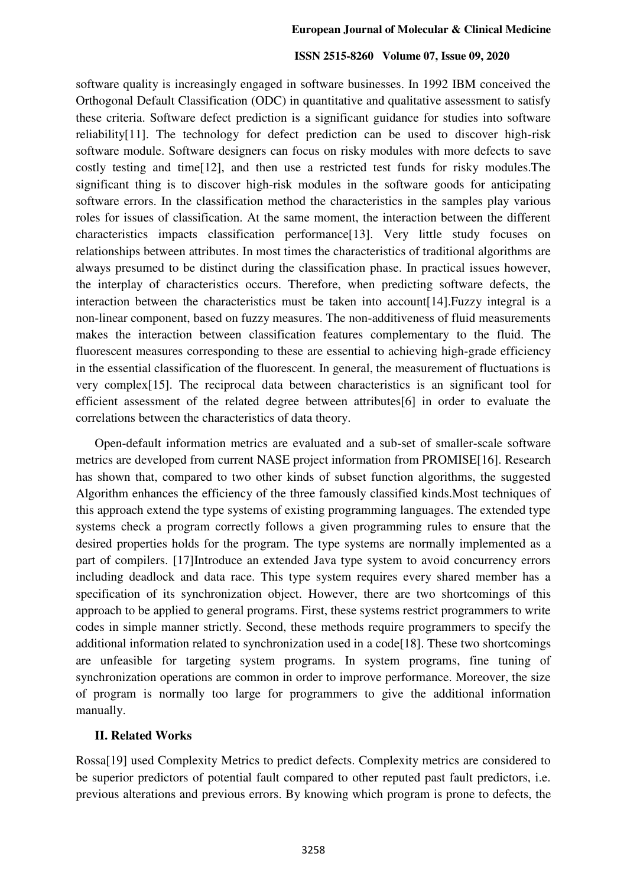software quality is increasingly engaged in software businesses. In 1992 IBM conceived the Orthogonal Default Classification (ODC) in quantitative and qualitative assessment to satisfy these criteria. Software defect prediction is a significant guidance for studies into software reliability[11]. The technology for defect prediction can be used to discover high-risk software module. Software designers can focus on risky modules with more defects to save costly testing and time[12], and then use a restricted test funds for risky modules.The significant thing is to discover high-risk modules in the software goods for anticipating software errors. In the classification method the characteristics in the samples play various roles for issues of classification. At the same moment, the interaction between the different characteristics impacts classification performance[13]. Very little study focuses on relationships between attributes. In most times the characteristics of traditional algorithms are always presumed to be distinct during the classification phase. In practical issues however, the interplay of characteristics occurs. Therefore, when predicting software defects, the interaction between the characteristics must be taken into account[14].Fuzzy integral is a non-linear component, based on fuzzy measures. The non-additiveness of fluid measurements makes the interaction between classification features complementary to the fluid. The fluorescent measures corresponding to these are essential to achieving high-grade efficiency in the essential classification of the fluorescent. In general, the measurement of fluctuations is very complex[15]. The reciprocal data between characteristics is an significant tool for efficient assessment of the related degree between attributes[6] in order to evaluate the correlations between the characteristics of data theory.

Open-default information metrics are evaluated and a sub-set of smaller-scale software metrics are developed from current NASE project information from PROMISE[16]. Research has shown that, compared to two other kinds of subset function algorithms, the suggested Algorithm enhances the efficiency of the three famously classified kinds.Most techniques of this approach extend the type systems of existing programming languages. The extended type systems check a program correctly follows a given programming rules to ensure that the desired properties holds for the program. The type systems are normally implemented as a part of compilers. [17]Introduce an extended Java type system to avoid concurrency errors including deadlock and data race. This type system requires every shared member has a specification of its synchronization object. However, there are two shortcomings of this approach to be applied to general programs. First, these systems restrict programmers to write codes in simple manner strictly. Second, these methods require programmers to specify the additional information related to synchronization used in a code<sup>[18]</sup>. These two shortcomings are unfeasible for targeting system programs. In system programs, fine tuning of synchronization operations are common in order to improve performance. Moreover, the size of program is normally too large for programmers to give the additional information manually.

#### **II. Related Works**

Rossa[19] used Complexity Metrics to predict defects. Complexity metrics are considered to be superior predictors of potential fault compared to other reputed past fault predictors, i.e. previous alterations and previous errors. By knowing which program is prone to defects, the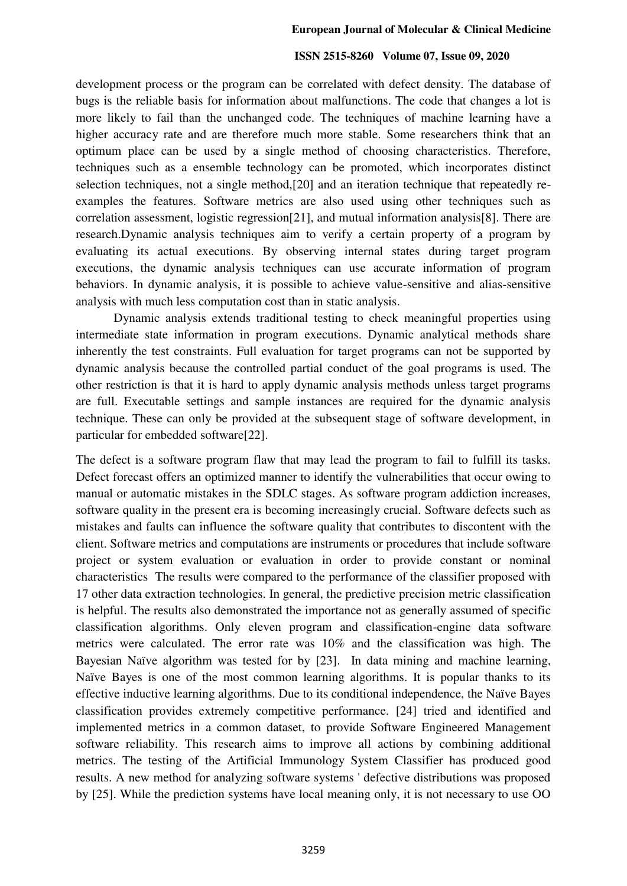development process or the program can be correlated with defect density. The database of bugs is the reliable basis for information about malfunctions. The code that changes a lot is more likely to fail than the unchanged code. The techniques of machine learning have a higher accuracy rate and are therefore much more stable. Some researchers think that an optimum place can be used by a single method of choosing characteristics. Therefore, techniques such as a ensemble technology can be promoted, which incorporates distinct selection techniques, not a single method,[20] and an iteration technique that repeatedly reexamples the features. Software metrics are also used using other techniques such as correlation assessment, logistic regression[21], and mutual information analysis[8]. There are research.Dynamic analysis techniques aim to verify a certain property of a program by evaluating its actual executions. By observing internal states during target program executions, the dynamic analysis techniques can use accurate information of program behaviors. In dynamic analysis, it is possible to achieve value-sensitive and alias-sensitive analysis with much less computation cost than in static analysis.

Dynamic analysis extends traditional testing to check meaningful properties using intermediate state information in program executions. Dynamic analytical methods share inherently the test constraints. Full evaluation for target programs can not be supported by dynamic analysis because the controlled partial conduct of the goal programs is used. The other restriction is that it is hard to apply dynamic analysis methods unless target programs are full. Executable settings and sample instances are required for the dynamic analysis technique. These can only be provided at the subsequent stage of software development, in particular for embedded software[22].

The defect is a software program flaw that may lead the program to fail to fulfill its tasks. Defect forecast offers an optimized manner to identify the vulnerabilities that occur owing to manual or automatic mistakes in the SDLC stages. As software program addiction increases, software quality in the present era is becoming increasingly crucial. Software defects such as mistakes and faults can influence the software quality that contributes to discontent with the client. Software metrics and computations are instruments or procedures that include software project or system evaluation or evaluation in order to provide constant or nominal characteristics The results were compared to the performance of the classifier proposed with 17 other data extraction technologies. In general, the predictive precision metric classification is helpful. The results also demonstrated the importance not as generally assumed of specific classification algorithms. Only eleven program and classification-engine data software metrics were calculated. The error rate was 10% and the classification was high. The Bayesian Naïve algorithm was tested for by [23]. In data mining and machine learning, Naïve Bayes is one of the most common learning algorithms. It is popular thanks to its effective inductive learning algorithms. Due to its conditional independence, the Naïve Bayes classification provides extremely competitive performance. [24] tried and identified and implemented metrics in a common dataset, to provide Software Engineered Management software reliability. This research aims to improve all actions by combining additional metrics. The testing of the Artificial Immunology System Classifier has produced good results. A new method for analyzing software systems ' defective distributions was proposed by [25]. While the prediction systems have local meaning only, it is not necessary to use OO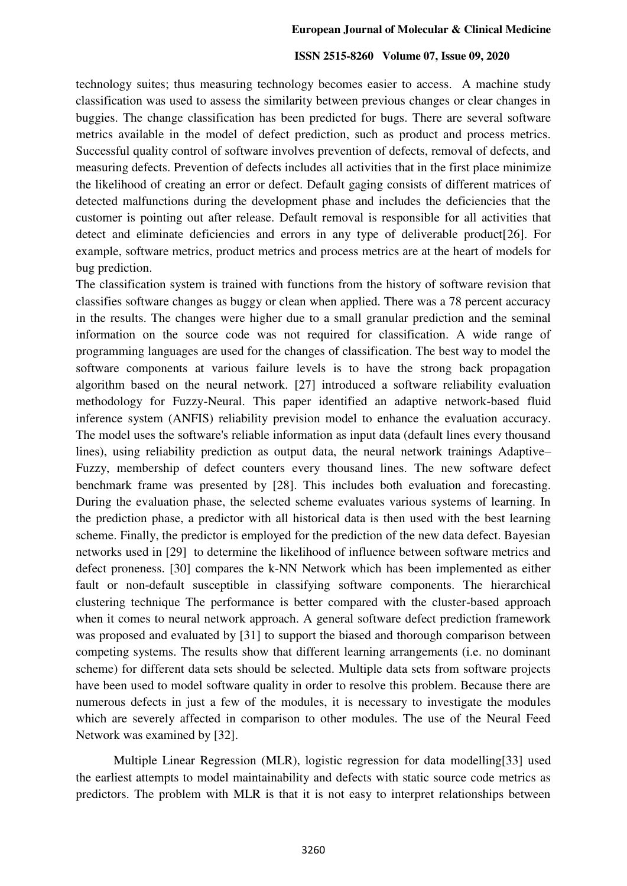technology suites; thus measuring technology becomes easier to access. A machine study classification was used to assess the similarity between previous changes or clear changes in buggies. The change classification has been predicted for bugs. There are several software metrics available in the model of defect prediction, such as product and process metrics. Successful quality control of software involves prevention of defects, removal of defects, and measuring defects. Prevention of defects includes all activities that in the first place minimize the likelihood of creating an error or defect. Default gaging consists of different matrices of detected malfunctions during the development phase and includes the deficiencies that the customer is pointing out after release. Default removal is responsible for all activities that detect and eliminate deficiencies and errors in any type of deliverable product[26]. For example, software metrics, product metrics and process metrics are at the heart of models for bug prediction.

The classification system is trained with functions from the history of software revision that classifies software changes as buggy or clean when applied. There was a 78 percent accuracy in the results. The changes were higher due to a small granular prediction and the seminal information on the source code was not required for classification. A wide range of programming languages are used for the changes of classification. The best way to model the software components at various failure levels is to have the strong back propagation algorithm based on the neural network. [27] introduced a software reliability evaluation methodology for Fuzzy-Neural. This paper identified an adaptive network-based fluid inference system (ANFIS) reliability prevision model to enhance the evaluation accuracy. The model uses the software's reliable information as input data (default lines every thousand lines), using reliability prediction as output data, the neural network trainings Adaptive– Fuzzy, membership of defect counters every thousand lines. The new software defect benchmark frame was presented by [28]. This includes both evaluation and forecasting. During the evaluation phase, the selected scheme evaluates various systems of learning. In the prediction phase, a predictor with all historical data is then used with the best learning scheme. Finally, the predictor is employed for the prediction of the new data defect. Bayesian networks used in [29] to determine the likelihood of influence between software metrics and defect proneness. [30] compares the k-NN Network which has been implemented as either fault or non-default susceptible in classifying software components. The hierarchical clustering technique The performance is better compared with the cluster-based approach when it comes to neural network approach. A general software defect prediction framework was proposed and evaluated by [31] to support the biased and thorough comparison between competing systems. The results show that different learning arrangements (i.e. no dominant scheme) for different data sets should be selected. Multiple data sets from software projects have been used to model software quality in order to resolve this problem. Because there are numerous defects in just a few of the modules, it is necessary to investigate the modules which are severely affected in comparison to other modules. The use of the Neural Feed Network was examined by [32].

Multiple Linear Regression (MLR), logistic regression for data modelling[33] used the earliest attempts to model maintainability and defects with static source code metrics as predictors. The problem with MLR is that it is not easy to interpret relationships between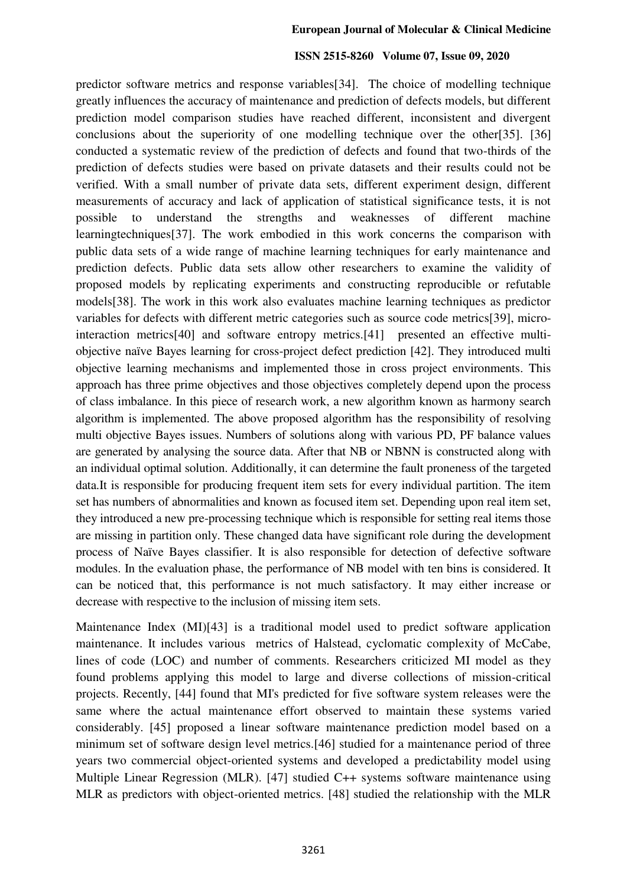predictor software metrics and response variables[34]. The choice of modelling technique greatly influences the accuracy of maintenance and prediction of defects models, but different prediction model comparison studies have reached different, inconsistent and divergent conclusions about the superiority of one modelling technique over the other[35]. [36] conducted a systematic review of the prediction of defects and found that two-thirds of the prediction of defects studies were based on private datasets and their results could not be verified. With a small number of private data sets, different experiment design, different measurements of accuracy and lack of application of statistical significance tests, it is not possible to understand the strengths and weaknesses of different machine learningtechniques[37]. The work embodied in this work concerns the comparison with public data sets of a wide range of machine learning techniques for early maintenance and prediction defects. Public data sets allow other researchers to examine the validity of proposed models by replicating experiments and constructing reproducible or refutable models[38]. The work in this work also evaluates machine learning techniques as predictor variables for defects with different metric categories such as source code metrics[39], microinteraction metrics[40] and software entropy metrics.[41] presented an effective multiobjective naïve Bayes learning for cross-project defect prediction [42]. They introduced multi objective learning mechanisms and implemented those in cross project environments. This approach has three prime objectives and those objectives completely depend upon the process of class imbalance. In this piece of research work, a new algorithm known as harmony search algorithm is implemented. The above proposed algorithm has the responsibility of resolving multi objective Bayes issues. Numbers of solutions along with various PD, PF balance values are generated by analysing the source data. After that NB or NBNN is constructed along with an individual optimal solution. Additionally, it can determine the fault proneness of the targeted data.It is responsible for producing frequent item sets for every individual partition. The item set has numbers of abnormalities and known as focused item set. Depending upon real item set, they introduced a new pre-processing technique which is responsible for setting real items those are missing in partition only. These changed data have significant role during the development process of Naïve Bayes classifier. It is also responsible for detection of defective software modules. In the evaluation phase, the performance of NB model with ten bins is considered. It can be noticed that, this performance is not much satisfactory. It may either increase or decrease with respective to the inclusion of missing item sets.

Maintenance Index (MI)[43] is a traditional model used to predict software application maintenance. It includes various metrics of Halstead, cyclomatic complexity of McCabe, lines of code (LOC) and number of comments. Researchers criticized MI model as they found problems applying this model to large and diverse collections of mission-critical projects. Recently, [44] found that MI's predicted for five software system releases were the same where the actual maintenance effort observed to maintain these systems varied considerably. [45] proposed a linear software maintenance prediction model based on a minimum set of software design level metrics.[46] studied for a maintenance period of three years two commercial object-oriented systems and developed a predictability model using Multiple Linear Regression (MLR). [47] studied C++ systems software maintenance using MLR as predictors with object-oriented metrics. [48] studied the relationship with the MLR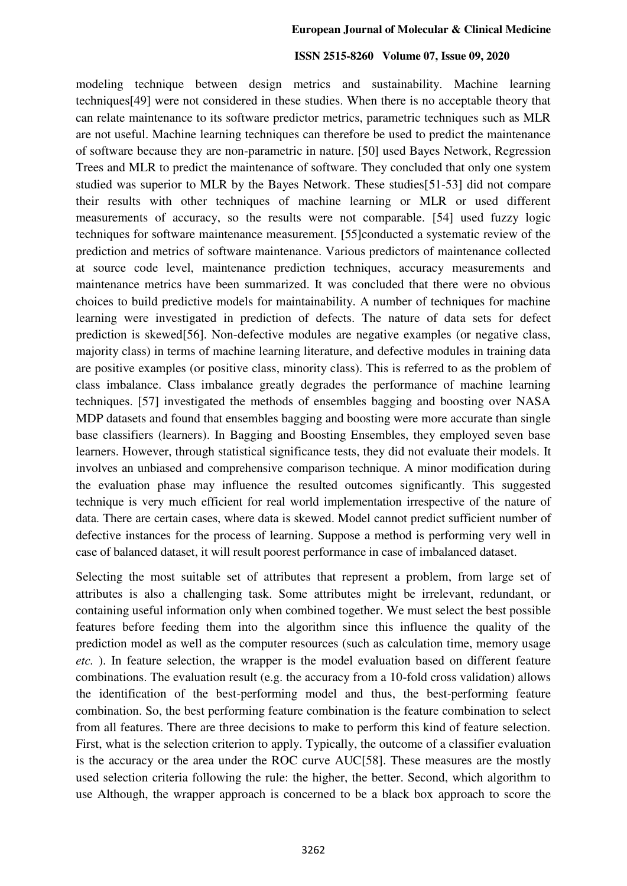modeling technique between design metrics and sustainability. Machine learning techniques[49] were not considered in these studies. When there is no acceptable theory that can relate maintenance to its software predictor metrics, parametric techniques such as MLR are not useful. Machine learning techniques can therefore be used to predict the maintenance of software because they are non-parametric in nature. [50] used Bayes Network, Regression Trees and MLR to predict the maintenance of software. They concluded that only one system studied was superior to MLR by the Bayes Network. These studies[51-53] did not compare their results with other techniques of machine learning or MLR or used different measurements of accuracy, so the results were not comparable. [54] used fuzzy logic techniques for software maintenance measurement. [55]conducted a systematic review of the prediction and metrics of software maintenance. Various predictors of maintenance collected at source code level, maintenance prediction techniques, accuracy measurements and maintenance metrics have been summarized. It was concluded that there were no obvious choices to build predictive models for maintainability. A number of techniques for machine learning were investigated in prediction of defects. The nature of data sets for defect prediction is skewed[56]. Non-defective modules are negative examples (or negative class, majority class) in terms of machine learning literature, and defective modules in training data are positive examples (or positive class, minority class). This is referred to as the problem of class imbalance. Class imbalance greatly degrades the performance of machine learning techniques. [57] investigated the methods of ensembles bagging and boosting over NASA MDP datasets and found that ensembles bagging and boosting were more accurate than single base classifiers (learners). In Bagging and Boosting Ensembles, they employed seven base learners. However, through statistical significance tests, they did not evaluate their models. It involves an unbiased and comprehensive comparison technique. A minor modification during the evaluation phase may influence the resulted outcomes significantly. This suggested technique is very much efficient for real world implementation irrespective of the nature of data. There are certain cases, where data is skewed. Model cannot predict sufficient number of defective instances for the process of learning. Suppose a method is performing very well in case of balanced dataset, it will result poorest performance in case of imbalanced dataset.

Selecting the most suitable set of attributes that represent a problem, from large set of attributes is also a challenging task. Some attributes might be irrelevant, redundant, or containing useful information only when combined together. We must select the best possible features before feeding them into the algorithm since this influence the quality of the prediction model as well as the computer resources (such as calculation time, memory usage *etc.* ). In feature selection, the wrapper is the model evaluation based on different feature combinations. The evaluation result (e.g. the accuracy from a 10-fold cross validation) allows the identification of the best-performing model and thus, the best-performing feature combination. So, the best performing feature combination is the feature combination to select from all features. There are three decisions to make to perform this kind of feature selection. First, what is the selection criterion to apply. Typically, the outcome of a classifier evaluation is the accuracy or the area under the ROC curve AUC[58]. These measures are the mostly used selection criteria following the rule: the higher, the better. Second, which algorithm to use Although, the wrapper approach is concerned to be a black box approach to score the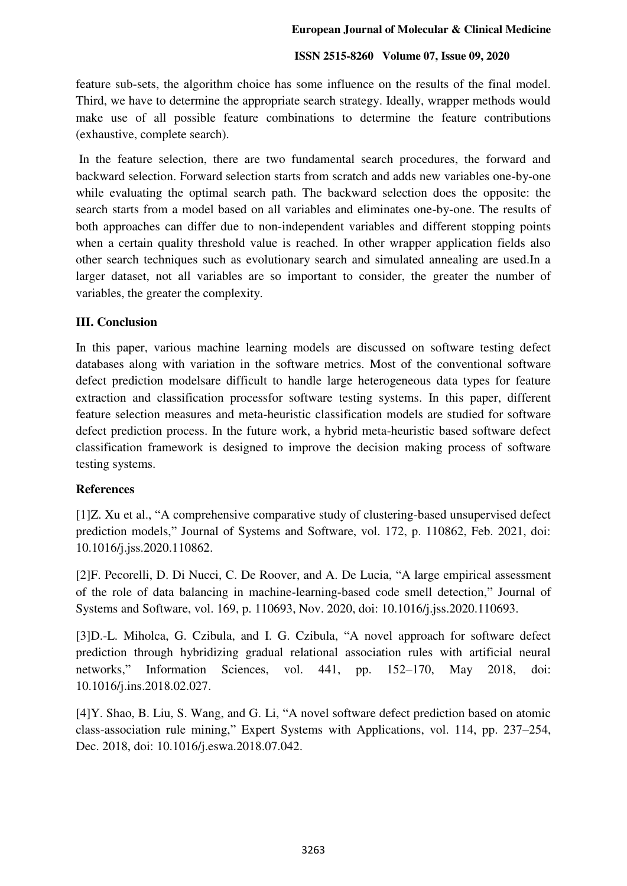feature sub-sets, the algorithm choice has some influence on the results of the final model. Third, we have to determine the appropriate search strategy. Ideally, wrapper methods would make use of all possible feature combinations to determine the feature contributions (exhaustive, complete search).

 In the feature selection, there are two fundamental search procedures, the forward and backward selection. Forward selection starts from scratch and adds new variables one-by-one while evaluating the optimal search path. The backward selection does the opposite: the search starts from a model based on all variables and eliminates one-by-one. The results of both approaches can differ due to non-independent variables and different stopping points when a certain quality threshold value is reached. In other wrapper application fields also other search techniques such as evolutionary search and simulated annealing are used.In a larger dataset, not all variables are so important to consider, the greater the number of variables, the greater the complexity.

# **III. Conclusion**

In this paper, various machine learning models are discussed on software testing defect databases along with variation in the software metrics. Most of the conventional software defect prediction modelsare difficult to handle large heterogeneous data types for feature extraction and classification processfor software testing systems. In this paper, different feature selection measures and meta-heuristic classification models are studied for software defect prediction process. In the future work, a hybrid meta-heuristic based software defect classification framework is designed to improve the decision making process of software testing systems.

# **References**

[1]Z. Xu et al., "A comprehensive comparative study of clustering-based unsupervised defect prediction models," Journal of Systems and Software, vol. 172, p. 110862, Feb. 2021, doi: 10.1016/j.jss.2020.110862.

[2]F. Pecorelli, D. Di Nucci, C. De Roover, and A. De Lucia, "A large empirical assessment of the role of data balancing in machine-learning-based code smell detection," Journal of Systems and Software, vol. 169, p. 110693, Nov. 2020, doi: 10.1016/j.jss.2020.110693.

[3]D.-L. Miholca, G. Czibula, and I. G. Czibula, "A novel approach for software defect prediction through hybridizing gradual relational association rules with artificial neural networks," Information Sciences, vol. 441, pp. 152–170, May 2018, doi: 10.1016/j.ins.2018.02.027.

[4]Y. Shao, B. Liu, S. Wang, and G. Li, "A novel software defect prediction based on atomic class-association rule mining," Expert Systems with Applications, vol. 114, pp. 237–254, Dec. 2018, doi: 10.1016/j.eswa.2018.07.042.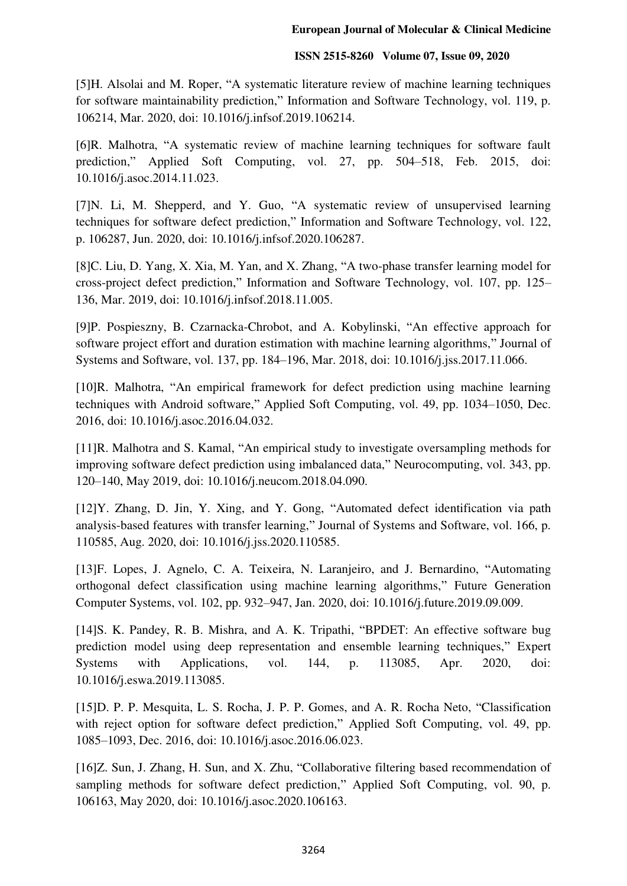[5]H. Alsolai and M. Roper, "A systematic literature review of machine learning techniques for software maintainability prediction," Information and Software Technology, vol. 119, p. 106214, Mar. 2020, doi: 10.1016/j.infsof.2019.106214.

[6]R. Malhotra, "A systematic review of machine learning techniques for software fault prediction," Applied Soft Computing, vol. 27, pp. 504–518, Feb. 2015, doi: 10.1016/j.asoc.2014.11.023.

[7]N. Li, M. Shepperd, and Y. Guo, "A systematic review of unsupervised learning techniques for software defect prediction," Information and Software Technology, vol. 122, p. 106287, Jun. 2020, doi: 10.1016/j.infsof.2020.106287.

[8]C. Liu, D. Yang, X. Xia, M. Yan, and X. Zhang, "A two-phase transfer learning model for cross-project defect prediction," Information and Software Technology, vol. 107, pp. 125– 136, Mar. 2019, doi: 10.1016/j.infsof.2018.11.005.

[9]P. Pospieszny, B. Czarnacka-Chrobot, and A. Kobylinski, "An effective approach for software project effort and duration estimation with machine learning algorithms," Journal of Systems and Software, vol. 137, pp. 184–196, Mar. 2018, doi: 10.1016/j.jss.2017.11.066.

[10]R. Malhotra, "An empirical framework for defect prediction using machine learning techniques with Android software," Applied Soft Computing, vol. 49, pp. 1034–1050, Dec. 2016, doi: 10.1016/j.asoc.2016.04.032.

[11]R. Malhotra and S. Kamal, "An empirical study to investigate oversampling methods for improving software defect prediction using imbalanced data," Neurocomputing, vol. 343, pp. 120–140, May 2019, doi: 10.1016/j.neucom.2018.04.090.

[12]Y. Zhang, D. Jin, Y. Xing, and Y. Gong, "Automated defect identification via path analysis-based features with transfer learning," Journal of Systems and Software, vol. 166, p. 110585, Aug. 2020, doi: 10.1016/j.jss.2020.110585.

[13]F. Lopes, J. Agnelo, C. A. Teixeira, N. Laranjeiro, and J. Bernardino, "Automating orthogonal defect classification using machine learning algorithms," Future Generation Computer Systems, vol. 102, pp. 932–947, Jan. 2020, doi: 10.1016/j.future.2019.09.009.

[14]S. K. Pandey, R. B. Mishra, and A. K. Tripathi, "BPDET: An effective software bug prediction model using deep representation and ensemble learning techniques," Expert Systems with Applications, vol. 144, p. 113085, Apr. 2020, doi: 10.1016/j.eswa.2019.113085.

[15]D. P. P. Mesquita, L. S. Rocha, J. P. P. Gomes, and A. R. Rocha Neto, "Classification with reject option for software defect prediction," Applied Soft Computing, vol. 49, pp. 1085–1093, Dec. 2016, doi: 10.1016/j.asoc.2016.06.023.

[16]Z. Sun, J. Zhang, H. Sun, and X. Zhu, "Collaborative filtering based recommendation of sampling methods for software defect prediction," Applied Soft Computing, vol. 90, p. 106163, May 2020, doi: 10.1016/j.asoc.2020.106163.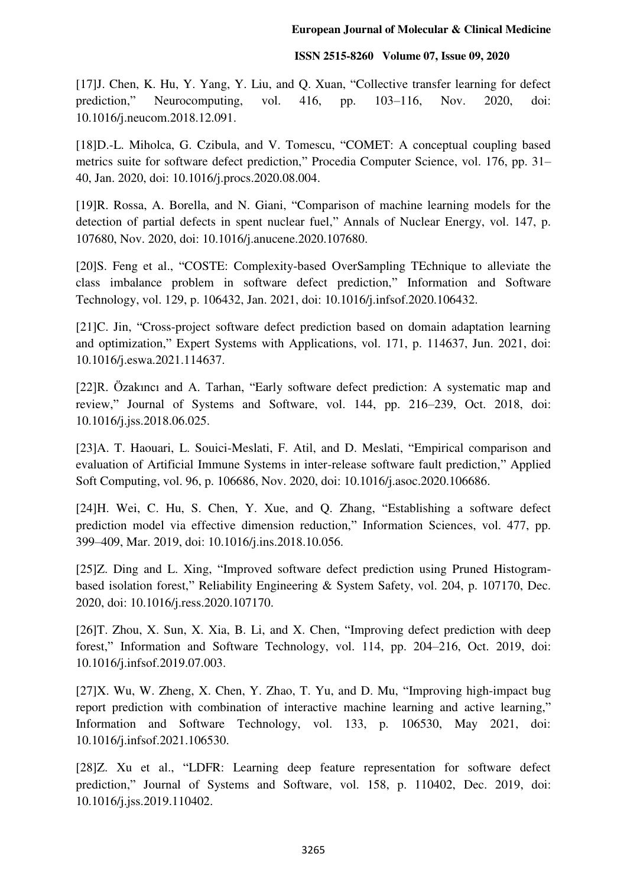[17] J. Chen, K. Hu, Y. Yang, Y. Liu, and Q. Xuan, "Collective transfer learning for defect prediction," Neurocomputing, vol. 416, pp. 103–116, Nov. 2020, doi: 10.1016/j.neucom.2018.12.091.

[18]D.-L. Miholca, G. Czibula, and V. Tomescu, "COMET: A conceptual coupling based metrics suite for software defect prediction," Procedia Computer Science, vol. 176, pp. 31– 40, Jan. 2020, doi: 10.1016/j.procs.2020.08.004.

[19]R. Rossa, A. Borella, and N. Giani, "Comparison of machine learning models for the detection of partial defects in spent nuclear fuel," Annals of Nuclear Energy, vol. 147, p. 107680, Nov. 2020, doi: 10.1016/j.anucene.2020.107680.

[20]S. Feng et al., "COSTE: Complexity-based OverSampling TEchnique to alleviate the class imbalance problem in software defect prediction," Information and Software Technology, vol. 129, p. 106432, Jan. 2021, doi: 10.1016/j.infsof.2020.106432.

[21]C. Jin, "Cross-project software defect prediction based on domain adaptation learning and optimization," Expert Systems with Applications, vol. 171, p. 114637, Jun. 2021, doi: 10.1016/j.eswa.2021.114637.

[22]R. Özakıncı and A. Tarhan, "Early software defect prediction: A systematic map and review," Journal of Systems and Software, vol. 144, pp. 216–239, Oct. 2018, doi: 10.1016/j.jss.2018.06.025.

[23]A. T. Haouari, L. Souici-Meslati, F. Atil, and D. Meslati, "Empirical comparison and evaluation of Artificial Immune Systems in inter-release software fault prediction," Applied Soft Computing, vol. 96, p. 106686, Nov. 2020, doi: 10.1016/j.asoc.2020.106686.

[24]H. Wei, C. Hu, S. Chen, Y. Xue, and Q. Zhang, "Establishing a software defect prediction model via effective dimension reduction," Information Sciences, vol. 477, pp. 399–409, Mar. 2019, doi: 10.1016/j.ins.2018.10.056.

[25]Z. Ding and L. Xing, "Improved software defect prediction using Pruned Histogrambased isolation forest," Reliability Engineering & System Safety, vol. 204, p. 107170, Dec. 2020, doi: 10.1016/j.ress.2020.107170.

[26]T. Zhou, X. Sun, X. Xia, B. Li, and X. Chen, "Improving defect prediction with deep forest," Information and Software Technology, vol. 114, pp. 204–216, Oct. 2019, doi: 10.1016/j.infsof.2019.07.003.

[27]X. Wu, W. Zheng, X. Chen, Y. Zhao, T. Yu, and D. Mu, "Improving high-impact bug report prediction with combination of interactive machine learning and active learning," Information and Software Technology, vol. 133, p. 106530, May 2021, doi: 10.1016/j.infsof.2021.106530.

[28]Z. Xu et al., "LDFR: Learning deep feature representation for software defect prediction," Journal of Systems and Software, vol. 158, p. 110402, Dec. 2019, doi: 10.1016/j.jss.2019.110402.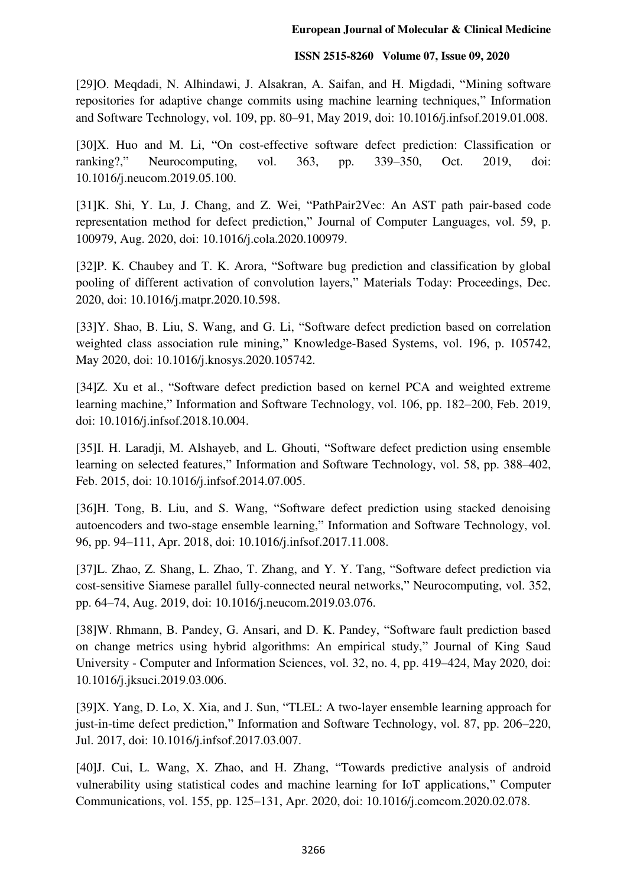[29]O. Meqdadi, N. Alhindawi, J. Alsakran, A. Saifan, and H. Migdadi, "Mining software repositories for adaptive change commits using machine learning techniques," Information and Software Technology, vol. 109, pp. 80–91, May 2019, doi: 10.1016/j.infsof.2019.01.008.

[30]X. Huo and M. Li, "On cost-effective software defect prediction: Classification or ranking?," Neurocomputing, vol. 363, pp. 339–350, Oct. 2019, doi: 10.1016/j.neucom.2019.05.100.

[31]K. Shi, Y. Lu, J. Chang, and Z. Wei, "PathPair2Vec: An AST path pair-based code representation method for defect prediction," Journal of Computer Languages, vol. 59, p. 100979, Aug. 2020, doi: 10.1016/j.cola.2020.100979.

[32]P. K. Chaubey and T. K. Arora, "Software bug prediction and classification by global pooling of different activation of convolution layers," Materials Today: Proceedings, Dec. 2020, doi: 10.1016/j.matpr.2020.10.598.

[33]Y. Shao, B. Liu, S. Wang, and G. Li, "Software defect prediction based on correlation weighted class association rule mining," Knowledge-Based Systems, vol. 196, p. 105742, May 2020, doi: 10.1016/j.knosys.2020.105742.

[34]Z. Xu et al., "Software defect prediction based on kernel PCA and weighted extreme learning machine," Information and Software Technology, vol. 106, pp. 182–200, Feb. 2019, doi: 10.1016/j.infsof.2018.10.004.

[35]I. H. Laradji, M. Alshayeb, and L. Ghouti, "Software defect prediction using ensemble learning on selected features," Information and Software Technology, vol. 58, pp. 388–402, Feb. 2015, doi: 10.1016/j.infsof.2014.07.005.

[36]H. Tong, B. Liu, and S. Wang, "Software defect prediction using stacked denoising autoencoders and two-stage ensemble learning," Information and Software Technology, vol. 96, pp. 94–111, Apr. 2018, doi: 10.1016/j.infsof.2017.11.008.

[37]L. Zhao, Z. Shang, L. Zhao, T. Zhang, and Y. Y. Tang, "Software defect prediction via cost-sensitive Siamese parallel fully-connected neural networks," Neurocomputing, vol. 352, pp. 64–74, Aug. 2019, doi: 10.1016/j.neucom.2019.03.076.

[38]W. Rhmann, B. Pandey, G. Ansari, and D. K. Pandey, "Software fault prediction based on change metrics using hybrid algorithms: An empirical study," Journal of King Saud University - Computer and Information Sciences, vol. 32, no. 4, pp. 419–424, May 2020, doi: 10.1016/j.jksuci.2019.03.006.

[39]X. Yang, D. Lo, X. Xia, and J. Sun, "TLEL: A two-layer ensemble learning approach for just-in-time defect prediction," Information and Software Technology, vol. 87, pp. 206–220, Jul. 2017, doi: 10.1016/j.infsof.2017.03.007.

[40]J. Cui, L. Wang, X. Zhao, and H. Zhang, "Towards predictive analysis of android vulnerability using statistical codes and machine learning for IoT applications," Computer Communications, vol. 155, pp. 125–131, Apr. 2020, doi: 10.1016/j.comcom.2020.02.078.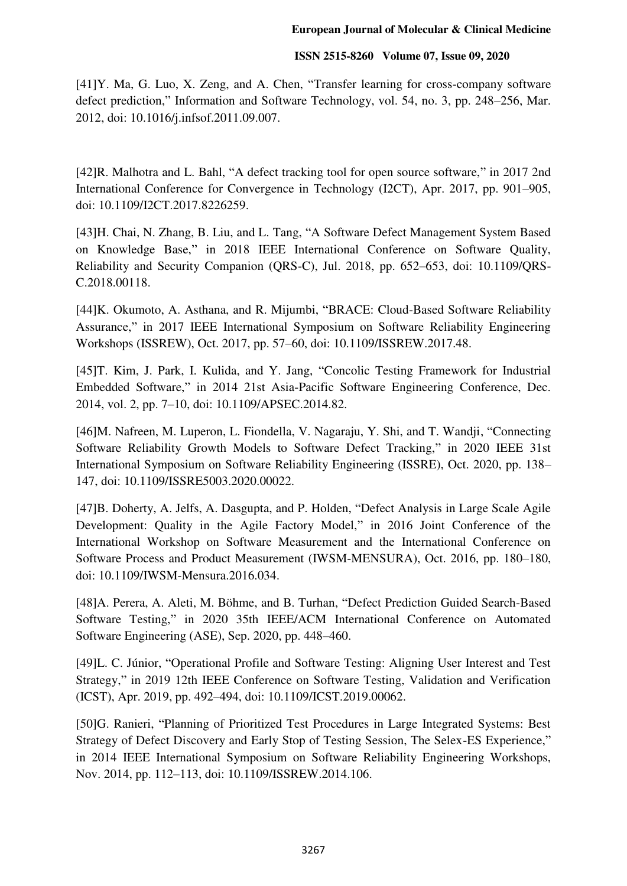[41]Y. Ma, G. Luo, X. Zeng, and A. Chen, "Transfer learning for cross-company software defect prediction," Information and Software Technology, vol. 54, no. 3, pp. 248–256, Mar. 2012, doi: 10.1016/j.infsof.2011.09.007.

[42]R. Malhotra and L. Bahl, "A defect tracking tool for open source software," in 2017 2nd International Conference for Convergence in Technology (I2CT), Apr. 2017, pp. 901–905, doi: 10.1109/I2CT.2017.8226259.

[43]H. Chai, N. Zhang, B. Liu, and L. Tang, "A Software Defect Management System Based on Knowledge Base," in 2018 IEEE International Conference on Software Quality, Reliability and Security Companion (QRS-C), Jul. 2018, pp. 652–653, doi: 10.1109/QRS-C.2018.00118.

[44]K. Okumoto, A. Asthana, and R. Mijumbi, "BRACE: Cloud-Based Software Reliability Assurance," in 2017 IEEE International Symposium on Software Reliability Engineering Workshops (ISSREW), Oct. 2017, pp. 57–60, doi: 10.1109/ISSREW.2017.48.

[45]T. Kim, J. Park, I. Kulida, and Y. Jang, "Concolic Testing Framework for Industrial Embedded Software," in 2014 21st Asia-Pacific Software Engineering Conference, Dec. 2014, vol. 2, pp. 7–10, doi: 10.1109/APSEC.2014.82.

[46]M. Nafreen, M. Luperon, L. Fiondella, V. Nagaraju, Y. Shi, and T. Wandji, "Connecting Software Reliability Growth Models to Software Defect Tracking," in 2020 IEEE 31st International Symposium on Software Reliability Engineering (ISSRE), Oct. 2020, pp. 138– 147, doi: 10.1109/ISSRE5003.2020.00022.

[47]B. Doherty, A. Jelfs, A. Dasgupta, and P. Holden, "Defect Analysis in Large Scale Agile Development: Quality in the Agile Factory Model," in 2016 Joint Conference of the International Workshop on Software Measurement and the International Conference on Software Process and Product Measurement (IWSM-MENSURA), Oct. 2016, pp. 180–180, doi: 10.1109/IWSM-Mensura.2016.034.

[48]A. Perera, A. Aleti, M. Böhme, and B. Turhan, "Defect Prediction Guided Search-Based Software Testing," in 2020 35th IEEE/ACM International Conference on Automated Software Engineering (ASE), Sep. 2020, pp. 448–460.

[49]L. C. Júnior, "Operational Profile and Software Testing: Aligning User Interest and Test Strategy," in 2019 12th IEEE Conference on Software Testing, Validation and Verification (ICST), Apr. 2019, pp. 492–494, doi: 10.1109/ICST.2019.00062.

[50]G. Ranieri, "Planning of Prioritized Test Procedures in Large Integrated Systems: Best Strategy of Defect Discovery and Early Stop of Testing Session, The Selex-ES Experience," in 2014 IEEE International Symposium on Software Reliability Engineering Workshops, Nov. 2014, pp. 112–113, doi: 10.1109/ISSREW.2014.106.